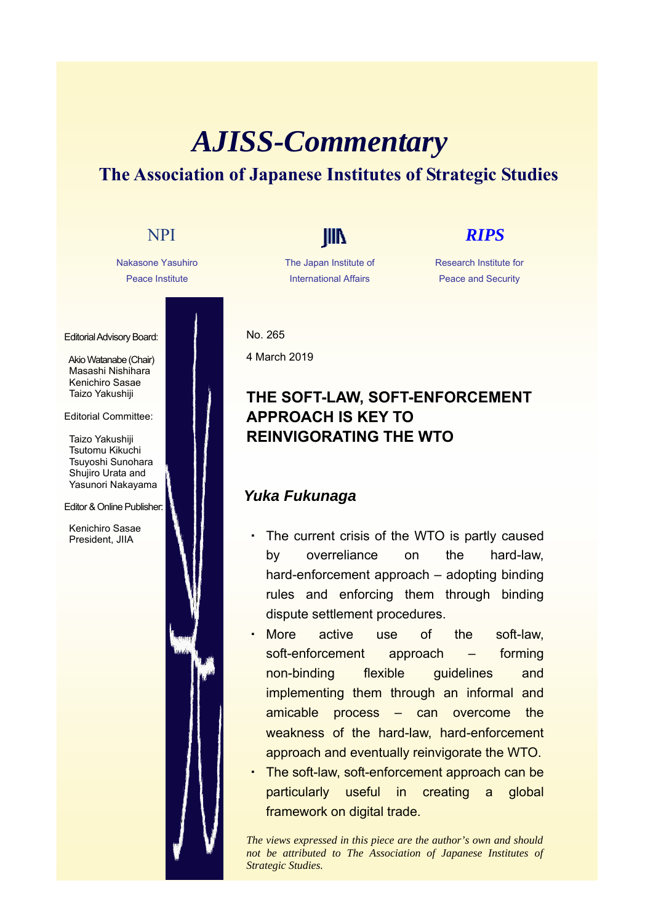# *AJISS-Commentary* **The Association of Japanese Institutes of Strategic Studies**

Nakasone Yasuhiro Peace Institute

Editorial Advisory Board:

Akio Watanabe (Chair) Masashi Nishihara Kenichiro Sasae Taizo Yakushiji

### Editorial Committee:

Taizo Yakushiji Tsutomu Kikuchi Tsuyoshi Sunohara Shujiro Urata and Yasunori Nakayama

### Editor & Online Publisher:

Kenichiro Sasae President, JIIA

The Japan Institute of International Affairs

## NPI **IIII** *RIPS*

Research Institute for Peace and Security

No. 265 4 March 2019

## **THE SOFT-LAW, SOFT-ENFORCEMENT APPROACH IS KEY TO REINVIGORATING THE WTO**

## *Yuka Fukunaga*

- The current crisis of the WTO is partly caused by overreliance on the hard-law, hard-enforcement approach – adopting binding rules and enforcing them through binding dispute settlement procedures.
- More active use of the soft-law, soft-enforcement approach – forming non-binding flexible guidelines and implementing them through an informal and amicable process – can overcome the weakness of the hard-law, hard-enforcement approach and eventually reinvigorate the WTO.
- The soft-law, soft-enforcement approach can be particularly useful in creating a global framework on digital trade.

*The views expressed in this piece are the author's own and should not be attributed to The Association of Japanese Institutes of Strategic Studies.*

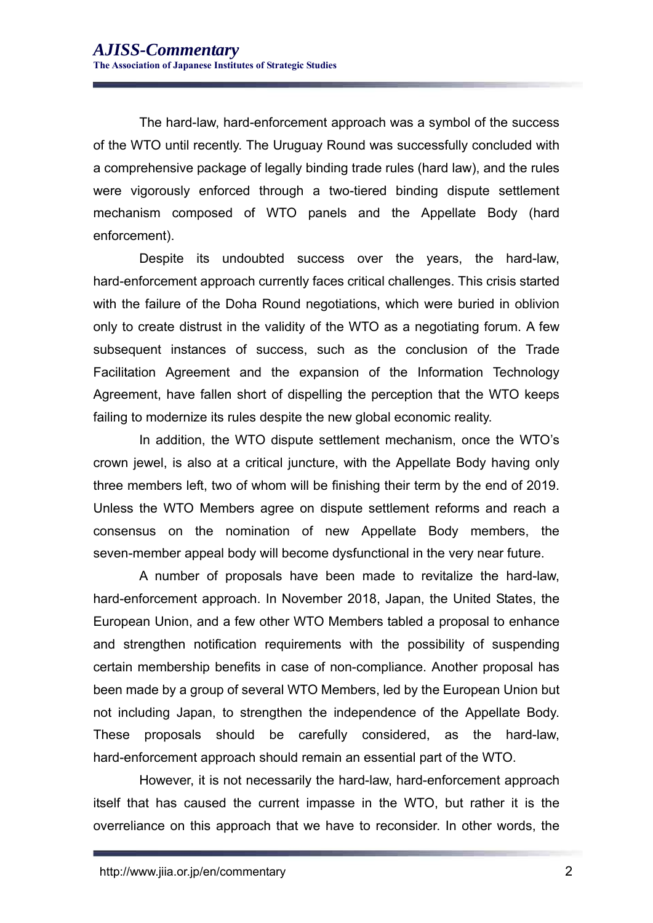The hard-law, hard-enforcement approach was a symbol of the success of the WTO until recently. The Uruguay Round was successfully concluded with a comprehensive package of legally binding trade rules (hard law), and the rules were vigorously enforced through a two-tiered binding dispute settlement mechanism composed of WTO panels and the Appellate Body (hard enforcement).

Despite its undoubted success over the years, the hard-law, hard-enforcement approach currently faces critical challenges. This crisis started with the failure of the Doha Round negotiations, which were buried in oblivion only to create distrust in the validity of the WTO as a negotiating forum. A few subsequent instances of success, such as the conclusion of the Trade Facilitation Agreement and the expansion of the Information Technology Agreement, have fallen short of dispelling the perception that the WTO keeps failing to modernize its rules despite the new global economic reality.

In addition, the WTO dispute settlement mechanism, once the WTO's crown jewel, is also at a critical juncture, with the Appellate Body having only three members left, two of whom will be finishing their term by the end of 2019. Unless the WTO Members agree on dispute settlement reforms and reach a consensus on the nomination of new Appellate Body members, the seven-member appeal body will become dysfunctional in the very near future.

A number of proposals have been made to revitalize the hard-law, hard-enforcement approach. In November 2018, Japan, the United States, the European Union, and a few other WTO Members tabled a proposal to enhance and strengthen notification requirements with the possibility of suspending certain membership benefits in case of non-compliance. Another proposal has been made by a group of several WTO Members, led by the European Union but not including Japan, to strengthen the independence of the Appellate Body. These proposals should be carefully considered, as the hard-law, hard-enforcement approach should remain an essential part of the WTO.

However, it is not necessarily the hard-law, hard-enforcement approach itself that has caused the current impasse in the WTO, but rather it is the overreliance on this approach that we have to reconsider. In other words, the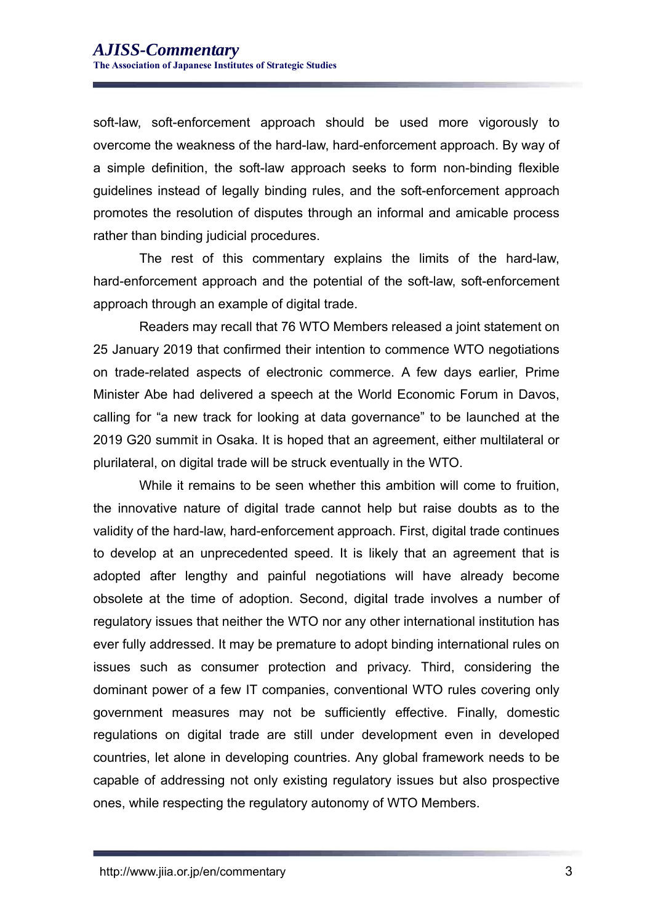soft-law, soft-enforcement approach should be used more vigorously to overcome the weakness of the hard-law, hard-enforcement approach. By way of a simple definition, the soft-law approach seeks to form non-binding flexible guidelines instead of legally binding rules, and the soft-enforcement approach promotes the resolution of disputes through an informal and amicable process rather than binding judicial procedures.

The rest of this commentary explains the limits of the hard-law, hard-enforcement approach and the potential of the soft-law, soft-enforcement approach through an example of digital trade.

Readers may recall that 76 WTO Members released a joint statement on 25 January 2019 that confirmed their intention to commence WTO negotiations on trade-related aspects of electronic commerce. A few days earlier, Prime Minister Abe had delivered a speech at the World Economic Forum in Davos, calling for "a new track for looking at data governance" to be launched at the 2019 G20 summit in Osaka. It is hoped that an agreement, either multilateral or plurilateral, on digital trade will be struck eventually in the WTO.

While it remains to be seen whether this ambition will come to fruition, the innovative nature of digital trade cannot help but raise doubts as to the validity of the hard-law, hard-enforcement approach. First, digital trade continues to develop at an unprecedented speed. It is likely that an agreement that is adopted after lengthy and painful negotiations will have already become obsolete at the time of adoption. Second, digital trade involves a number of regulatory issues that neither the WTO nor any other international institution has ever fully addressed. It may be premature to adopt binding international rules on issues such as consumer protection and privacy. Third, considering the dominant power of a few IT companies, conventional WTO rules covering only government measures may not be sufficiently effective. Finally, domestic regulations on digital trade are still under development even in developed countries, let alone in developing countries. Any global framework needs to be capable of addressing not only existing regulatory issues but also prospective ones, while respecting the regulatory autonomy of WTO Members.